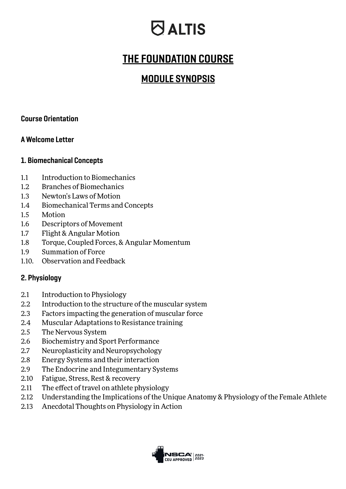## **O** ALTIS

### THE FOUNDATION COURSE

### MODULE SYNOPSIS

### Course Orientation

### A Welcome Letter

#### 1. Biomechanical Concepts

- 1.1 Introduction to Biomechanics
- 1.2 Branches of Biomechanics
- 1.3 Newton's Laws of Motion
- 1.4 Biomechanical Terms and Concepts
- 1.5 Motion
- 1.6 Descriptors of Movement
- 1.7 Flight & Angular Motion
- 1.8 Torque, Coupled Forces, & Angular Momentum
- 1.9 Summation of Force
- 1.10. Observation and Feedback

### 2. Physiology

- 2.1 Introduction to Physiology
- 2.2 Introduction to the structure of the muscular system
- 2.3 Factors impacting the generation of muscular force
- 2.4 Muscular Adaptations to Resistance training
- 2.5 The Nervous System
- 2.6 Biochemistry and Sport Performance
- 2.7 Neuroplasticity and Neuropsychology
- 2.8 Energy Systems and their interaction
- 2.9 The Endocrine and Integumentary Systems
- 2.10 Fatigue, Stress, Rest & recovery
- 2.11 The effect of travel on athlete physiology
- 2.12 Understanding the Implications of the Unique Anatomy & Physiology of the Female Athlete
- 2.13 Anecdotal Thoughts on Physiology in Action

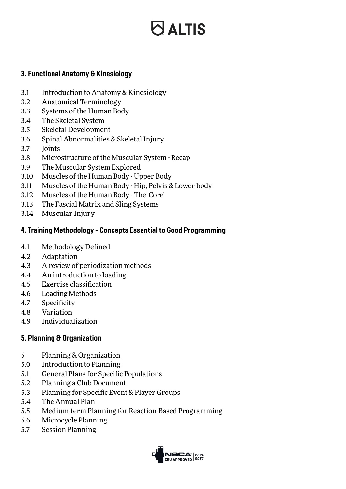# $\bigcirc$  altis

### 3. Functional Anatomy & Kinesiology

- 3.1 Introduction to Anatomy & Kinesiology
- 3.2 Anatomical Terminology
- 3.3 Systems of the Human Body
- 3.4 The Skeletal System
- 3.5 Skeletal Development
- 3.6 Spinal Abnormalities & Skeletal Injury
- 3.7 Joints
- 3.8 Microstructure of the Muscular System Recap
- 3.9 The Muscular System Explored
- 3.10 Muscles of the Human Body Upper Body
- 3.11 Muscles of the Human Body Hip, Pelvis & Lower body
- 3.12 Muscles of the Human Body The 'Core'
- 3.13 The Fascial Matrix and Sling Systems
- 3.14 Muscular Injury

### 4. Training Methodology - Concepts Essential to Good Programming

- 4.1 Methodology Defined
- 4.2 Adaptation
- 4.3 A review of periodization methods
- 4.4 An introduction to loading
- 4.5 Exercise classification
- 4.6 Loading Methods
- 4.7 Specificity
- 4.8 Variation
- 4.9 Individualization

### 5. Planning & Organization

- 5 Planning & Organization
- 5.0 Introduction to Planning
- 5.1 General Plans for Specific Populations
- 5.2 Planning a Club Document
- 5.3 Planning for Specific Event & Player Groups
- 5.4 The Annual Plan
- 5.5 Medium-term Planning for Reaction-Based Programming
- 5.6 Microcycle Planning
- 5.7 Session Planning

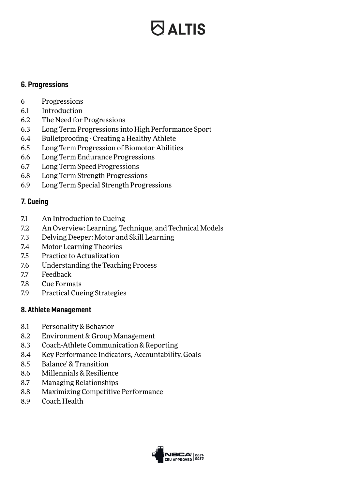# **O ALTIS**

#### 6. Progressions

- 6 Progressions
- 6.1 Introduction
- 6.2 The Need for Progressions
- 6.3 Long Term Progressions into High Performance Sport
- 6.4 Bulletproofing Creating a Healthy Athlete
- 6.5 Long Term Progression of Biomotor Abilities
- 6.6 Long Term Endurance Progressions
- 6.7 Long Term Speed Progressions
- 6.8 Long Term Strength Progressions
- 6.9 Long Term Special Strength Progressions

### 7. Cueing

- 7.1 An Introduction to Cueing
- 7.2 An Overview: Learning, Technique, and Technical Models
- 7.3 Delving Deeper: Motor and Skill Learning
- 7.4 Motor Learning Theories
- 7.5 Practice to Actualization
- 7.6 Understanding the Teaching Process
- 7.7 Feedback
- 7.8 Cue Formats
- 7.9 Practical Cueing Strategies

### 8. Athlete Management

- 8.1 Personality & Behavior
- 8.2 Environment & Group Management
- 8.3 Coach-Athlete Communication & Reporting
- 8.4 Key Performance Indicators, Accountability, Goals
- 8.5 Balance' & Transition
- 8.6 Millennials & Resilience
- 8.7 Managing Relationships
- 8.8 Maximizing Competitive Performance
- 8.9 Coach Health